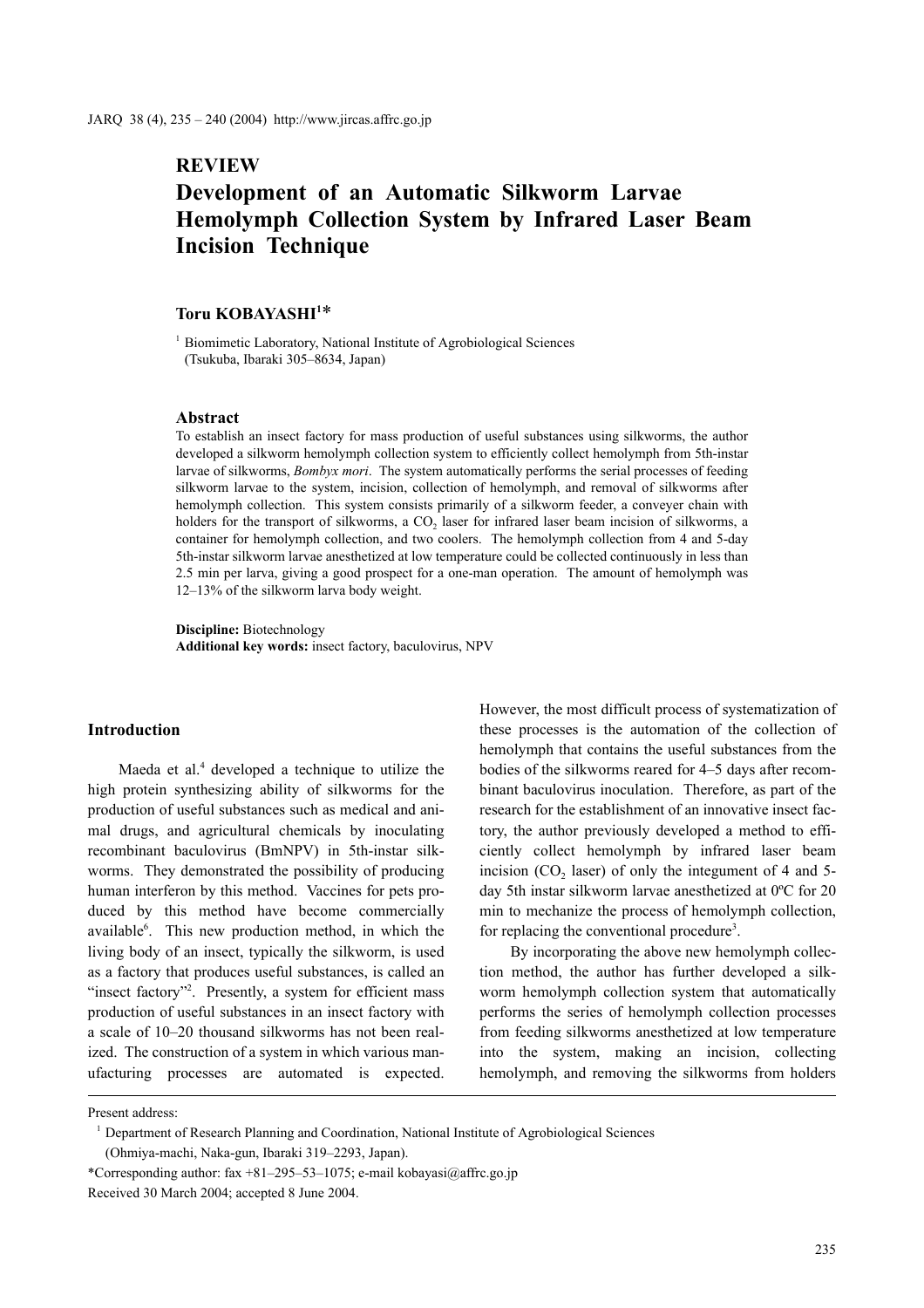# **REVIEW**

# **Development of an Automatic Silkworm Larvae Hemolymph Collection System by Infrared Laser Beam Incision Technique**

# Toru KOBAYASHI<sup>1\*</sup>

<sup>1</sup> Biomimetic Laboratory, National Institute of Agrobiological Sciences (Tsukuba, Ibaraki 305–8634, Japan)

#### **Abstract**

To establish an insect factory for mass production of useful substances using silkworms, the author developed a silkworm hemolymph collection system to efficiently collect hemolymph from 5th-instar larvae of silkworms, *Bombyx mori*. The system automatically performs the serial processes of feeding silkworm larvae to the system, incision, collection of hemolymph, and removal of silkworms after hemolymph collection. This system consists primarily of a silkworm feeder, a conveyer chain with holders for the transport of silkworms, a CO<sub>2</sub> laser for infrared laser beam incision of silkworms, a container for hemolymph collection, and two coolers. The hemolymph collection from 4 and 5-day 5th-instar silkworm larvae anesthetized at low temperature could be collected continuously in less than 2.5 min per larva, giving a good prospect for a one-man operation. The amount of hemolymph was 12–13% of the silkworm larva body weight.

**Discipline:** Biotechnology **Additional key words:** insect factory, baculovirus, NPV

## **Introduction**

Maeda et al.<sup>4</sup> developed a technique to utilize the high protein synthesizing ability of silkworms for the production of useful substances such as medical and animal drugs, and agricultural chemicals by inoculating recombinant baculovirus (BmNPV) in 5th-instar silkworms. They demonstrated the possibility of producing human interferon by this method. Vaccines for pets produced by this method have become commercially available<sup>6</sup>. This new production method, in which the living body of an insect, typically the silkworm, is used as a factory that produces useful substances, is called an "insect factory"<sup>2</sup>. Presently, a system for efficient mass production of useful substances in an insect factory with a scale of 10–20 thousand silkworms has not been realized. The construction of a system in which various manufacturing processes are automated is expected. However, the most difficult process of systematization of these processes is the automation of the collection of hemolymph that contains the useful substances from the bodies of the silkworms reared for 4–5 days after recombinant baculovirus inoculation. Therefore, as part of the research for the establishment of an innovative insect factory, the author previously developed a method to efficiently collect hemolymph by infrared laser beam incision  $(CO<sub>2</sub>$  laser) of only the integument of 4 and 5day 5th instar silkworm larvae anesthetized at 0ºC for 20 min to mechanize the process of hemolymph collection, for replacing the conventional procedure<sup>3</sup>.

By incorporating the above new hemolymph collection method, the author has further developed a silkworm hemolymph collection system that automatically performs the series of hemolymph collection processes from feeding silkworms anesthetized at low temperature into the system, making an incision, collecting hemolymph, and removing the silkworms from holders

Present address:

<sup>&</sup>lt;sup>1</sup> Department of Research Planning and Coordination, National Institute of Agrobiological Sciences

<sup>(</sup>Ohmiya-machi, Naka-gun, Ibaraki 319–2293, Japan).

<sup>\*</sup>Corresponding author: fax +81–295–53–1075; e-mail kobayasi $@a$ ffrc.go.jp

Received 30 March 2004; accepted 8 June 2004.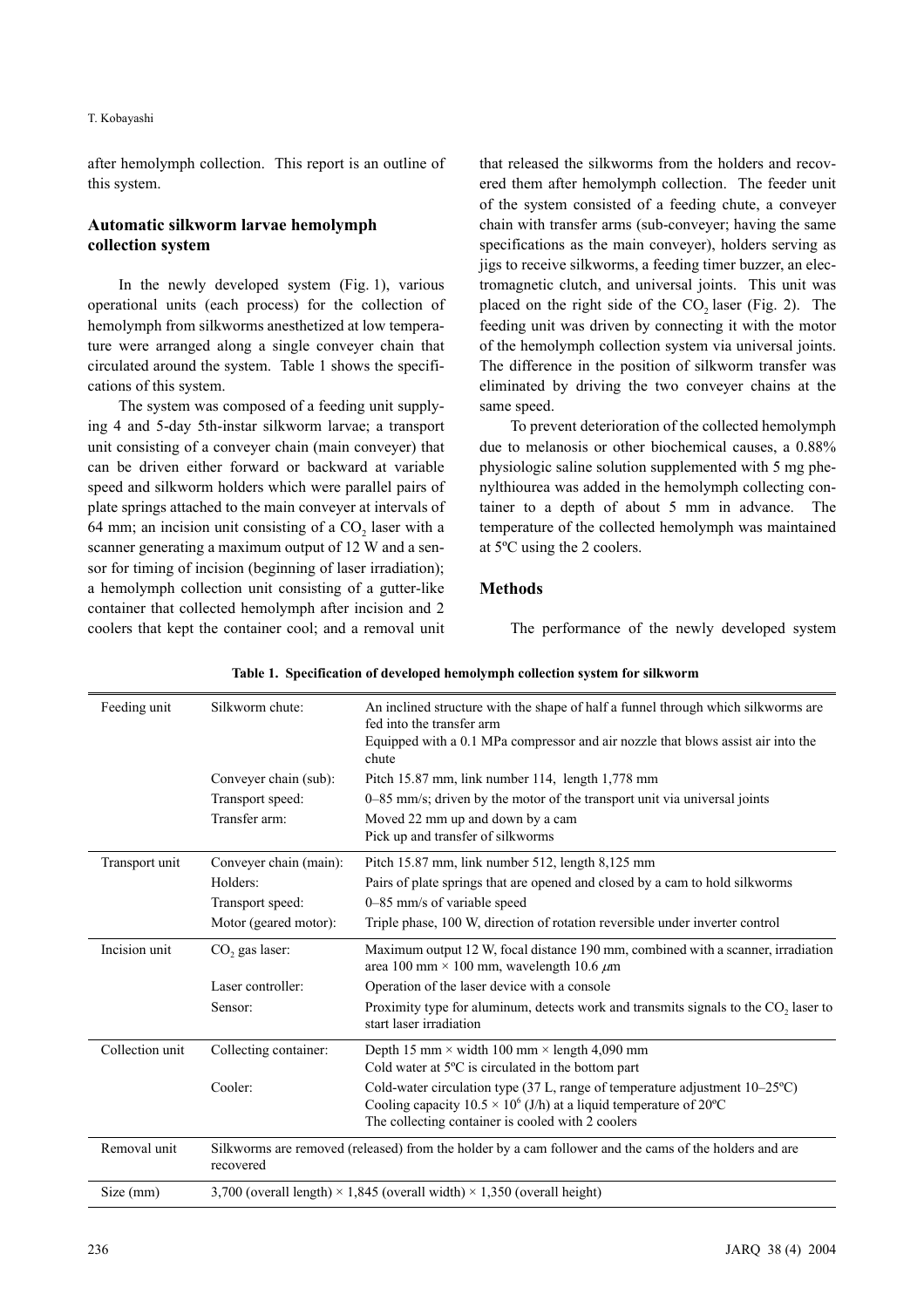#### T. Kobayashi

after hemolymph collection. This report is an outline of this system.

## **Automatic silkworm larvae hemolymph collection system**

In the newly developed system (Fig. 1), various operational units (each process) for the collection of hemolymph from silkworms anesthetized at low temperature were arranged along a single conveyer chain that circulated around the system. Table 1 shows the specifications of this system.

The system was composed of a feeding unit supplying 4 and 5-day 5th-instar silkworm larvae; a transport unit consisting of a conveyer chain (main conveyer) that can be driven either forward or backward at variable speed and silkworm holders which were parallel pairs of plate springs attached to the main conveyer at intervals of 64 mm; an incision unit consisting of a  $CO<sub>2</sub>$  laser with a scanner generating a maximum output of 12 W and a sensor for timing of incision (beginning of laser irradiation); a hemolymph collection unit consisting of a gutter-like container that collected hemolymph after incision and 2 coolers that kept the container cool; and a removal unit that released the silkworms from the holders and recovered them after hemolymph collection. The feeder unit of the system consisted of a feeding chute, a conveyer chain with transfer arms (sub-conveyer; having the same specifications as the main conveyer), holders serving as jigs to receive silkworms, a feeding timer buzzer, an electromagnetic clutch, and universal joints. This unit was placed on the right side of the  $CO<sub>2</sub>$  laser (Fig. 2). The feeding unit was driven by connecting it with the motor of the hemolymph collection system via universal joints. The difference in the position of silkworm transfer was eliminated by driving the two conveyer chains at the same speed.

To prevent deterioration of the collected hemolymph due to melanosis or other biochemical causes, a 0.88% physiologic saline solution supplemented with 5 mg phenylthiourea was added in the hemolymph collecting container to a depth of about 5 mm in advance. The temperature of the collected hemolymph was maintained at 5ºC using the 2 coolers.

### **Methods**

The performance of the newly developed system

| Feeding unit    | Silkworm chute:                                                                                                     | An inclined structure with the shape of half a funnel through which silkworms are<br>fed into the transfer arm                                                                                                |  |  |  |
|-----------------|---------------------------------------------------------------------------------------------------------------------|---------------------------------------------------------------------------------------------------------------------------------------------------------------------------------------------------------------|--|--|--|
|                 |                                                                                                                     | Equipped with a 0.1 MPa compressor and air nozzle that blows assist air into the<br>chute                                                                                                                     |  |  |  |
|                 | Conveyer chain (sub):                                                                                               | Pitch 15.87 mm, link number 114, length 1,778 mm                                                                                                                                                              |  |  |  |
|                 | Transport speed:                                                                                                    | 0–85 mm/s; driven by the motor of the transport unit via universal joints                                                                                                                                     |  |  |  |
|                 | Transfer arm:                                                                                                       | Moved 22 mm up and down by a cam                                                                                                                                                                              |  |  |  |
|                 |                                                                                                                     | Pick up and transfer of silkworms                                                                                                                                                                             |  |  |  |
| Transport unit  | Conveyer chain (main):                                                                                              | Pitch 15.87 mm, link number 512, length 8,125 mm                                                                                                                                                              |  |  |  |
|                 | Holders:                                                                                                            | Pairs of plate springs that are opened and closed by a cam to hold silkworms                                                                                                                                  |  |  |  |
|                 | Transport speed:                                                                                                    | 0–85 mm/s of variable speed                                                                                                                                                                                   |  |  |  |
|                 | Motor (geared motor):                                                                                               | Triple phase, 100 W, direction of rotation reversible under inverter control                                                                                                                                  |  |  |  |
| Incision unit   | CO <sub>2</sub> gas laser:                                                                                          | Maximum output 12 W, focal distance 190 mm, combined with a scanner, irradiation<br>area 100 mm × 100 mm, wavelength 10.6 $\mu$ m                                                                             |  |  |  |
|                 | Laser controller:                                                                                                   | Operation of the laser device with a console                                                                                                                                                                  |  |  |  |
|                 | Sensor:                                                                                                             | Proximity type for aluminum, detects work and transmits signals to the CO <sub>2</sub> laser to<br>start laser irradiation                                                                                    |  |  |  |
| Collection unit | Collecting container:                                                                                               | Depth 15 mm $\times$ width 100 mm $\times$ length 4,090 mm<br>Cold water at $5^{\circ}$ C is circulated in the bottom part                                                                                    |  |  |  |
|                 | Cooler:                                                                                                             | Cold-water circulation type (37 L, range of temperature adjustment 10–25°C)<br>Cooling capacity $10.5 \times 10^6$ (J/h) at a liquid temperature of 20°C<br>The collecting container is cooled with 2 coolers |  |  |  |
| Removal unit    | Silkworms are removed (released) from the holder by a cam follower and the cams of the holders and are<br>recovered |                                                                                                                                                                                                               |  |  |  |
| Size (mm)       | 3,700 (overall length) $\times$ 1,845 (overall width) $\times$ 1,350 (overall height)                               |                                                                                                                                                                                                               |  |  |  |

 **Table 1. Specification of developed hemolymph collection system for silkworm**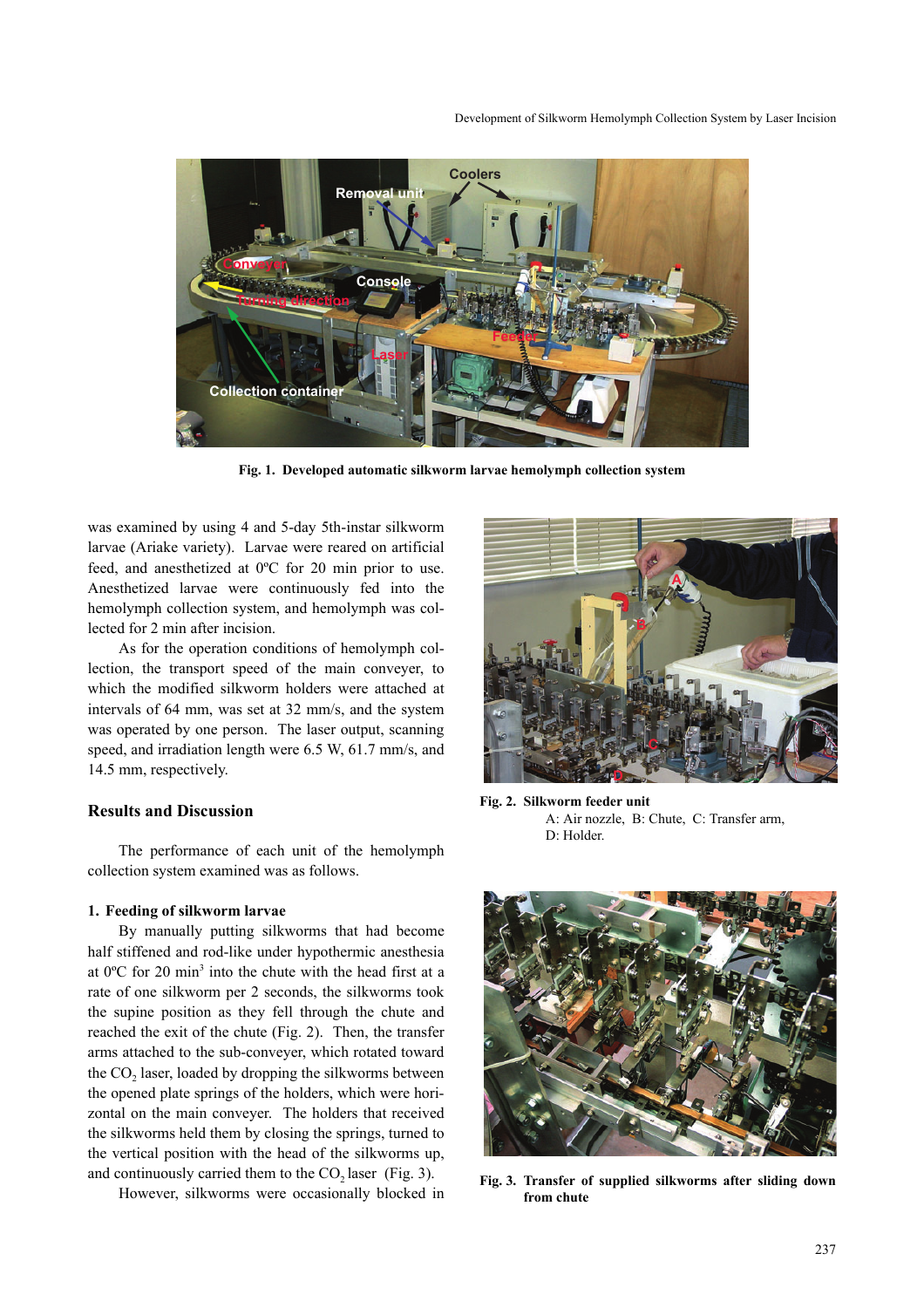Development of Silkworm Hemolymph Collection System by Laser Incision



**Fig. 1. Developed automatic silkworm larvae hemolymph collection system** 

was examined by using 4 and 5-day 5th-instar silkworm larvae (Ariake variety). Larvae were reared on artificial feed, and anesthetized at 0ºC for 20 min prior to use. Anesthetized larvae were continuously fed into the hemolymph collection system, and hemolymph was collected for 2 min after incision.

As for the operation conditions of hemolymph collection, the transport speed of the main conveyer, to which the modified silkworm holders were attached at intervals of 64 mm, was set at 32 mm/s, and the system was operated by one person. The laser output, scanning speed, and irradiation length were 6.5 W, 61.7 mm/s, and 14.5 mm, respectively.

#### **Results and Discussion**

The performance of each unit of the hemolymph collection system examined was as follows.

#### **1. Feeding of silkworm larvae**

By manually putting silkworms that had become half stiffened and rod-like under hypothermic anesthesia at  $0^{\circ}$ C for 20 min<sup>3</sup> into the chute with the head first at a rate of one silkworm per 2 seconds, the silkworms took the supine position as they fell through the chute and reached the exit of the chute (Fig. 2). Then, the transfer arms attached to the sub-conveyer, which rotated toward the  $CO<sub>2</sub>$  laser, loaded by dropping the silkworms between the opened plate springs of the holders, which were horizontal on the main conveyer. The holders that received the silkworms held them by closing the springs, turned to the vertical position with the head of the silkworms up, and continuously carried them to the  $CO<sub>2</sub>$  laser (Fig. 3).

However, silkworms were occasionally blocked in



**Fig. 2. Silkworm feeder unit** A: Air nozzle, B: Chute, C: Transfer arm, D: Holder.



**Fig. 3. Transfer of supplied silkworms after sliding down from chute**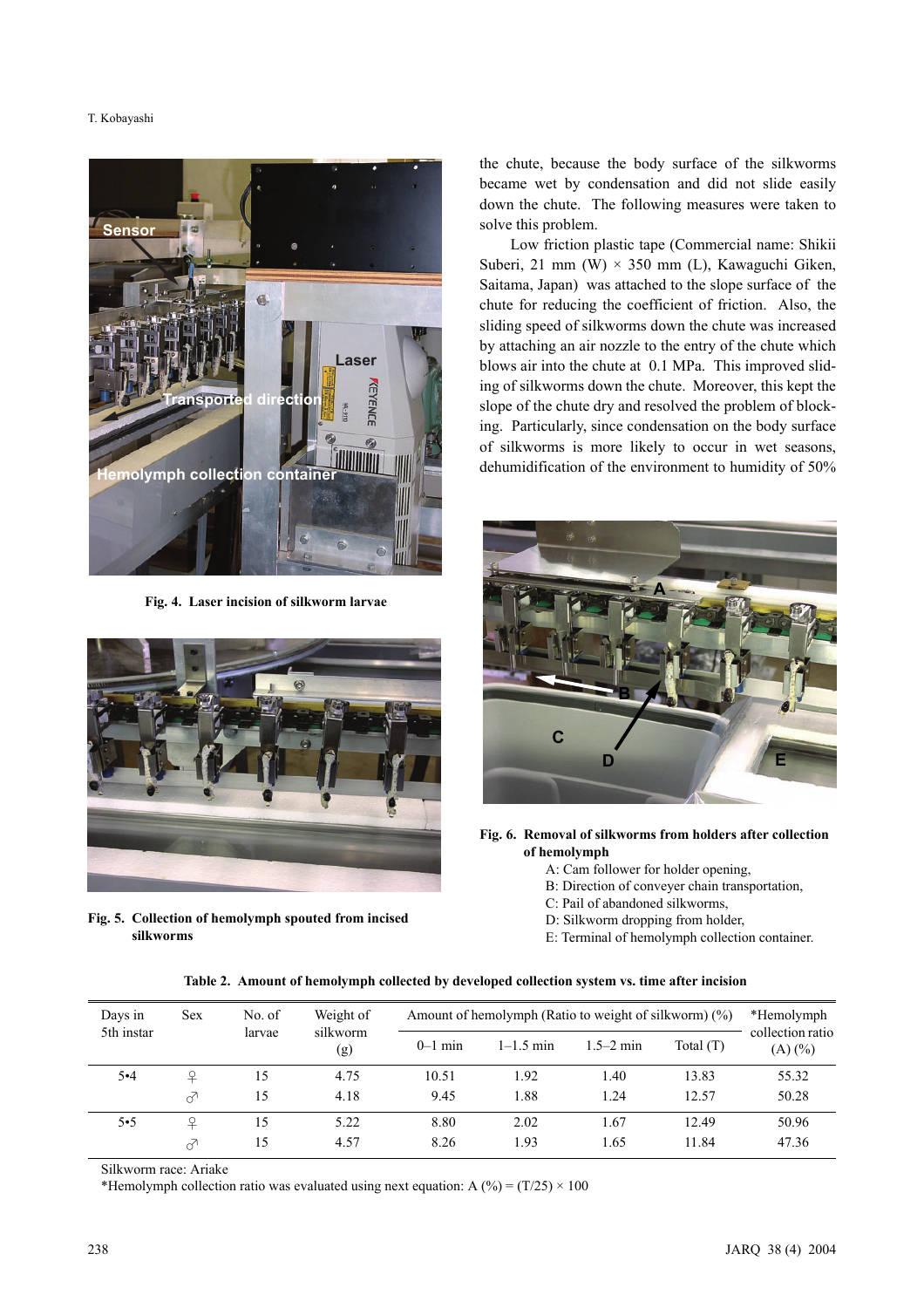#### T. Kobayashi



**Fig. 4. Laser incision of silkworm larvae**



**Fig. 5. Collection of hemolymph spouted from incised silkworms**

the chute, because the body surface of the silkworms became wet by condensation and did not slide easily down the chute. The following measures were taken to solve this problem.

Low friction plastic tape (Commercial name: Shikii Suberi, 21 mm (W)  $\times$  350 mm (L), Kawaguchi Giken, Saitama, Japan) was attached to the slope surface of the chute for reducing the coefficient of friction. Also, the sliding speed of silkworms down the chute was increased by attaching an air nozzle to the entry of the chute which blows air into the chute at 0.1 MPa. This improved sliding of silkworms down the chute. Moreover, this kept the slope of the chute dry and resolved the problem of blocking. Particularly, since condensation on the body surface of silkworms is more likely to occur in wet seasons, dehumidification of the environment to humidity of 50%



**Fig. 6. Removal of silkworms from holders after collection of hemolymph**

- A: Cam follower for holder opening,
- B: Direction of conveyer chain transportation,
- C: Pail of abandoned silkworms,
- D: Silkworm dropping from holder,
- E: Terminal of hemolymph collection container.

| Table 2. Amount of hemolymph collected by developed collection system vs. time after incision |  |  |
|-----------------------------------------------------------------------------------------------|--|--|
|                                                                                               |  |  |

| Days in<br>5th instar | Sex | No. of<br>larvae | Weight of<br>silkworm<br>(g) | Amount of hemolymph (Ratio to weight of silkworm) $(\%)$ |               |               |             | *Hemolymph                       |
|-----------------------|-----|------------------|------------------------------|----------------------------------------------------------|---------------|---------------|-------------|----------------------------------|
|                       |     |                  |                              | $0-1$ min                                                | $1 - 1.5$ min | $1.5 - 2$ min | Total $(T)$ | collection ratio<br>$(A)$ $(\%)$ |
| $5 - 4$               | ₽   | 15               | 4.75                         | 10.51                                                    | 1.92          | 1.40          | 13.83       | 55.32                            |
|                       | ♂   | 15               | 4.18                         | 9.45                                                     | 1.88          | 1.24          | 12.57       | 50.28                            |
| $5 - 5$               | ₽   | 15               | 5.22                         | 8.80                                                     | 2.02          | 1.67          | 12.49       | 50.96                            |
|                       | ♂   | 15               | 4.57                         | 8.26                                                     | 1.93          | 1.65          | 11.84       | 47.36                            |

Silkworm race: Ariake

\*Hemolymph collection ratio was evaluated using next equation: A  $(\%)=(T/25) \times 100$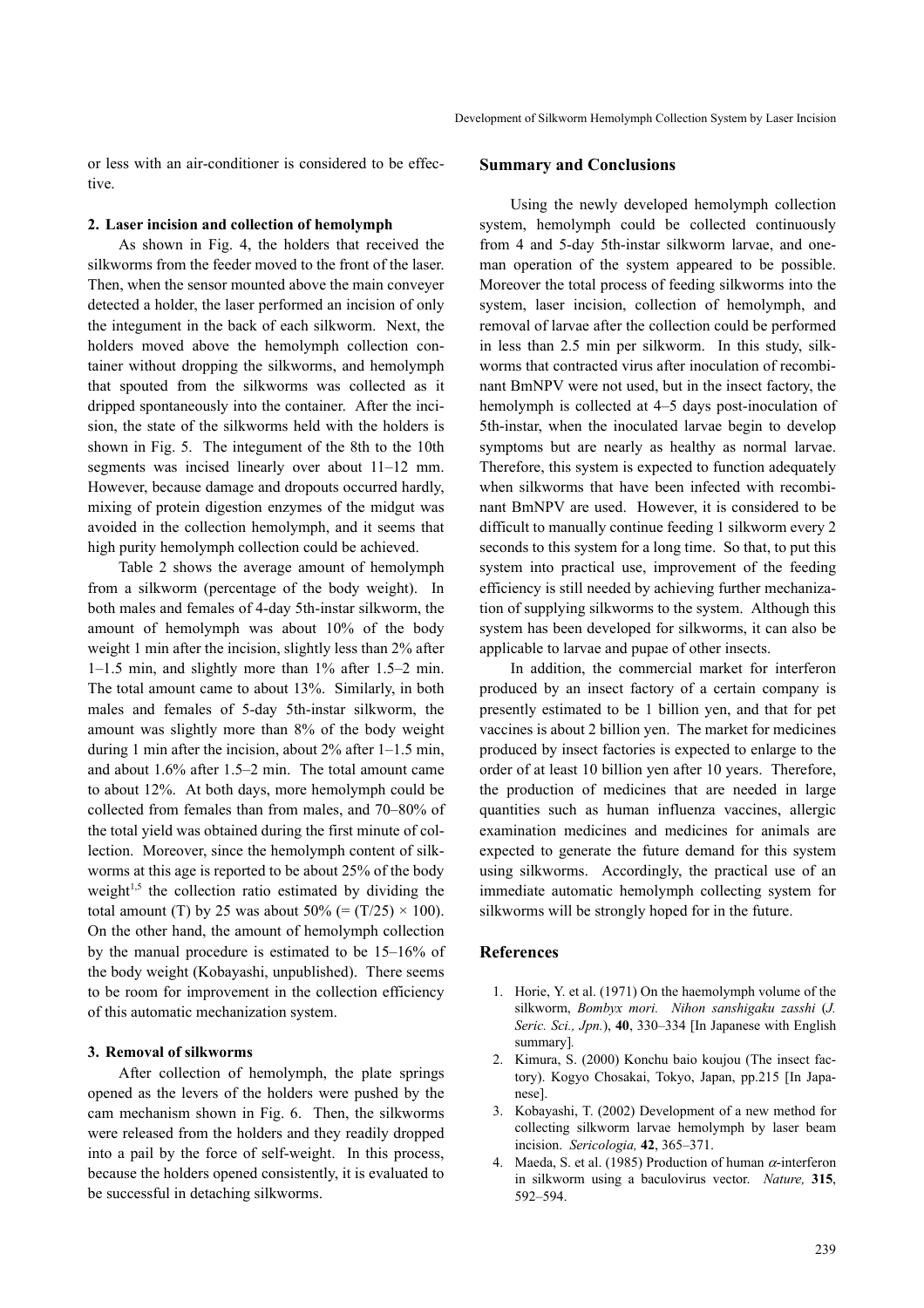or less with an air-conditioner is considered to be effective.

#### **2. Laser incision and collection of hemolymph**

As shown in Fig. 4, the holders that received the silkworms from the feeder moved to the front of the laser. Then, when the sensor mounted above the main conveyer detected a holder, the laser performed an incision of only the integument in the back of each silkworm. Next, the holders moved above the hemolymph collection container without dropping the silkworms, and hemolymph that spouted from the silkworms was collected as it dripped spontaneously into the container. After the incision, the state of the silkworms held with the holders is shown in Fig. 5. The integument of the 8th to the 10th segments was incised linearly over about 11–12 mm. However, because damage and dropouts occurred hardly, mixing of protein digestion enzymes of the midgut was avoided in the collection hemolymph, and it seems that high purity hemolymph collection could be achieved.

Table 2 shows the average amount of hemolymph from a silkworm (percentage of the body weight). In both males and females of 4-day 5th-instar silkworm, the amount of hemolymph was about 10% of the body weight 1 min after the incision, slightly less than 2% after 1–1.5 min, and slightly more than 1% after 1.5–2 min. The total amount came to about 13%. Similarly, in both males and females of 5-day 5th-instar silkworm, the amount was slightly more than 8% of the body weight during 1 min after the incision, about 2% after 1–1.5 min, and about 1.6% after 1.5–2 min. The total amount came to about 12%. At both days, more hemolymph could be collected from females than from males, and 70–80% of the total yield was obtained during the first minute of collection. Moreover, since the hemolymph content of silkworms at this age is reported to be about 25% of the body weight $1.5$  the collection ratio estimated by dividing the total amount (T) by 25 was about 50% (=  $(T/25) \times 100$ ). On the other hand, the amount of hemolymph collection by the manual procedure is estimated to be 15–16% of the body weight (Kobayashi, unpublished). There seems to be room for improvement in the collection efficiency of this automatic mechanization system.

#### **3. Removal of silkworms**

After collection of hemolymph, the plate springs opened as the levers of the holders were pushed by the cam mechanism shown in Fig. 6. Then, the silkworms were released from the holders and they readily dropped into a pail by the force of self-weight. In this process, because the holders opened consistently, it is evaluated to be successful in detaching silkworms.

#### **Summary and Conclusions**

Using the newly developed hemolymph collection system, hemolymph could be collected continuously from 4 and 5-day 5th-instar silkworm larvae, and oneman operation of the system appeared to be possible. Moreover the total process of feeding silkworms into the system, laser incision, collection of hemolymph, and removal of larvae after the collection could be performed in less than 2.5 min per silkworm. In this study, silkworms that contracted virus after inoculation of recombinant BmNPV were not used, but in the insect factory, the hemolymph is collected at 4–5 days post-inoculation of 5th-instar, when the inoculated larvae begin to develop symptoms but are nearly as healthy as normal larvae. Therefore, this system is expected to function adequately when silkworms that have been infected with recombinant BmNPV are used. However, it is considered to be difficult to manually continue feeding 1 silkworm every 2 seconds to this system for a long time. So that, to put this system into practical use, improvement of the feeding efficiency is still needed by achieving further mechanization of supplying silkworms to the system. Although this system has been developed for silkworms, it can also be applicable to larvae and pupae of other insects.

In addition, the commercial market for interferon produced by an insect factory of a certain company is presently estimated to be 1 billion yen, and that for pet vaccines is about 2 billion yen. The market for medicines produced by insect factories is expected to enlarge to the order of at least 10 billion yen after 10 years. Therefore, the production of medicines that are needed in large quantities such as human influenza vaccines, allergic examination medicines and medicines for animals are expected to generate the future demand for this system using silkworms. Accordingly, the practical use of an immediate automatic hemolymph collecting system for silkworms will be strongly hoped for in the future.

## **References**

- 1. Horie, Y. et al. (1971) On the haemolymph volume of the silkworm, *Bombyx mori. Nihon sanshigaku zasshi* (*J. Seric. Sci., Jpn.*), **40**, 330–334 [In Japanese with English summary]*.*
- 2. Kimura, S. (2000) Konchu baio koujou (The insect factory). Kogyo Chosakai, Tokyo, Japan, pp.215 [In Japanese].
- 3. Kobayashi, T. (2002) Development of a new method for collecting silkworm larvae hemolymph by laser beam incision. *Sericologia,* **42**, 365–371.
- Maeda, S. et al. (1985) Production of human  $\alpha$ -interferon in silkworm using a baculovirus vector. *Nature,* **315**, 592–594.